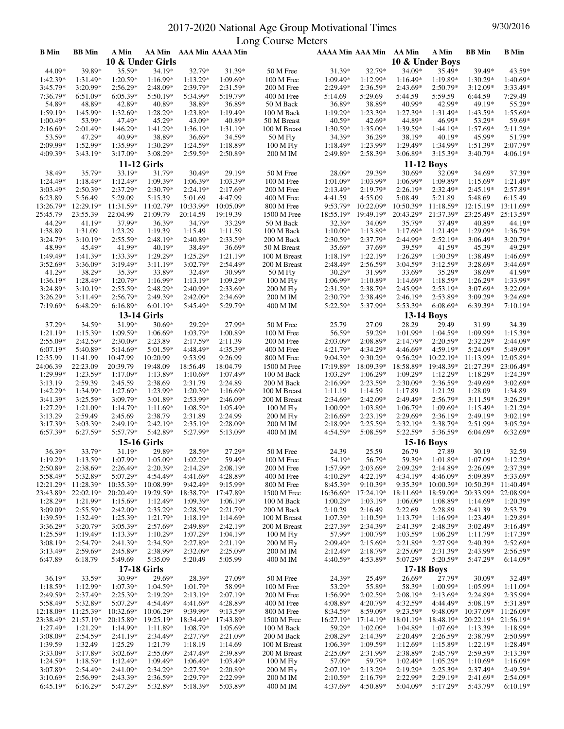## 2017-2020 National Age Group Motivational Times 9/30/2016 Long Course Meters

|              |               |             |                     |            |                         | Long Course Meters |                         |            |                   |            |               |                     |
|--------------|---------------|-------------|---------------------|------------|-------------------------|--------------------|-------------------------|------------|-------------------|------------|---------------|---------------------|
| <b>B</b> Min | <b>BB</b> Min | A Min       |                     |            | AA Min AAA Min AAAA Min |                    | AAAA Min AAA Min AA Min |            |                   | A Min      | <b>BB</b> Min | <b>B</b> Min        |
|              |               |             | 10 & Under Girls    |            |                         |                    |                         |            | 10 & Under Boys   |            |               |                     |
| 44.09*       | 39.89*        | 35.59*      | 34.19*              | 32.79*     | 31.39*                  | 50 M Free          | 31.39*                  | 32.79*     | 34.09*            | 35.49*     | 39.49*        | 43.59*              |
| 1:42.39*     | 1:31.49*      | $1:20.59*$  | 1:16.99*            | 1:13.29*   | 1:09.69*                | 100 M Free         | $1:09.49*$              | 1:12.99*   | $1:16.49*$        | 1:19.89*   | $1:30.29*$    | $1:40.69*$          |
|              |               |             |                     |            |                         |                    |                         |            |                   |            |               |                     |
| $3:45.79*$   | 3:20.99*      | $2:56.29*$  | $2:48.09*$          | 2:39.79*   | 2:31.59*                | 200 M Free         | $2:29.49*$              | $2:36.59*$ | $2:43.69*$        | $2:50.79*$ | $3:12.09*$    | 3:33.49*            |
| 7:36.79*     | 6:51.09*      | $6:05.39*$  | 5:50.19*            | 5:34.99*   | 5:19.79*                | 400 M Free         | 5:14.69                 | 5:29.69    | 5:44.59           | 5:59.59    | 6:44.59       | 7:29.49             |
| 54.89*       | 48.89*        | 42.89*      | 40.89*              | 38.89*     | 36.89*                  | 50 M Back          | 36.89*                  | 38.89*     | 40.99*            | 42.99*     | 49.19*        | 55.29*              |
| 1:59.19*     | 1:45.99*      | 1:32.69*    | $1:28.29*$          | 1:23.89*   | 1:19.49*                | 100 M Back         | $1:19.29*$              | $1:23.39*$ | 1:27.39*          | 1:31.49*   | 1:43.59*      | 1:55.69*            |
| $1:00.49*$   | 53.99*        | 47.49*      | 45.29*              | 43.09*     | 40.89*                  | 50 M Breast        | $40.59*$                | 42.69*     | 44.89*            | 46.99*     | 53.29*        | 59.69*              |
|              |               |             |                     |            |                         |                    |                         |            |                   |            |               |                     |
| $2:16.69*$   | 2:01.49*      | 1:46.29*    | 1:41.29*            | 1:36.19*   | 1:31.19*                | 100 M Breast       | $1:30.59*$              | 1:35.09*   | 1:39.59*          | 1:44.19*   | $1:57.69*$    | $2:11.29*$          |
| 53.59*       | 47.29*        | 40.99*      | 38.89*              | 36.69*     | 34.59*                  | 50 M Fly           | 34.39*                  | 36.29*     | 38.19*            | 40.19*     | 45.99*        | 51.79*              |
| 2:09.99*     | 1:52.99*      | 1:35.99*    | 1:30.29*            | 1:24.59*   | 1:18.89*                | 100 M Fly          | $1:18.49*$              | 1:23.99*   | 1:29.49*          | 1:34.99*   | 1:51.39*      | $2:07.79*$          |
| 4:09.39*     | 3:43.19*      | $3:17.09*$  | 3:08.29*            | $2:59.59*$ | 2:50.89*                | 200 M IM           | 2:49.89*                | 2:58.39*   | 3:06.89*          | 3:15.39*   | $3:40.79*$    | $4:06.19*$          |
|              |               |             |                     |            |                         |                    |                         |            |                   |            |               |                     |
|              |               |             | <b>11-12 Girls</b>  |            |                         |                    |                         |            | <b>11-12 Boys</b> |            |               |                     |
| 38.49*       | 35.79*        | 33.19*      | 31.79*              | 30.49*     | 29.19*                  | 50 M Free          | 28.09*                  | 29.39*     | 30.69*            | 32.09*     | 34.69*        | 37.39*              |
| $1:24.49*$   | 1:18.49*      | 1:12.49*    | 1:09.39*            | $1:06.39*$ | 1:03.39*                | 100 M Free         | $1:01.09*$              | 1:03.99*   | 1:06.99*          | 1:09.89*   | 1:15.69*      | 1:21.49*            |
| $3:03.49*$   | $2:50.39*$    | 2:37.29*    | 2:30.79*            | $2:24.19*$ | 2:17.69*                | 200 M Free         | $2:13.49*$              | $2:19.79*$ | $2:26.19*$        | 2:32.49*   | $2:45.19*$    | 2:57.89*            |
|              |               |             |                     |            |                         |                    |                         |            |                   |            |               |                     |
| 6:23.89      | 5:56.49       | 5:29.09     | 5:15.39             | 5:01.69    | 4:47.99                 | 400 M Free         | 4:41.59                 | 4:55.09    | 5:08.49           | 5:21.89    | 5:48.69       | 6:15.49             |
| 13:26.79*    | 12:29.19*     | 11:31.59*   | 11:02.79*           | 10:33.99*  | 10:05.09*               | 800 M Free         | 9:53.79*                | 10:22.09*  | 10:50.39*         | 11:18.59*  | $12:15.19*$   | 13:11.69*           |
| 25:45.79     | 23:55.39      | 22:04.99    | 21:09.79            | 20:14.59   | 19:19.39                | 1500 M Free        | 18:55.19*               | 19:49.19*  | 20:43.29*         | 21:37.39*  | 23:25.49*     | 25:13.59*           |
| 44.29*       | 41.19*        | 37.99*      | 36.39*              | 34.79*     | 33.29*                  | 50 M Back          | 32.39*                  | 34.09*     | 35.79*            | 37.49*     | 40.89*        | 44.19*              |
| 1:38.89      | 1:31.09       | 1:23.29     | 1:19.39             | 1:15.49    | 1:11.59                 | 100 M Back         | $1:10.09*$              | 1:13.89*   | $1:17.69*$        | 1:21.49*   | $1:29.09*$    | 1:36.79*            |
|              |               |             |                     |            |                         |                    |                         |            |                   |            |               |                     |
| $3:24.79*$   | $3:10.19*$    | 2:55.59*    | 2:48.19*            | 2:40.89*   | 2:33.59*                | 200 M Back         | 2:30.59*                | 2:37.79*   | 2:44.99*          | $2:52.19*$ | $3:06.49*$    | 3:20.79*            |
| 48.99*       | 45.49*        | 41.99*      | 40.19*              | 38.49*     | 36.69*                  | 50 M Breast        | 35.69*                  | 37.69*     | 39.59*            | 41.59*     | 45.39*        | 49.29*              |
| 1:49.49*     | 1:41.39*      | 1:33.39*    | 1:29.29*            | 1:25.29*   | 1:21.19*                | 100 M Breast       | $1:18.19*$              | $1:22.19*$ | 1:26.29*          | 1:30.39*   | 1:38.49*      | 1:46.69*            |
| $3:52.69*$   | 3:36.09*      | $3:19.49*$  | $3:11.19*$          | $3:02.79*$ | 2:54.49*                | 200 M Breast       | 2:48.49*                | $2:56.59*$ | $3:04.59*$        | 3:12.59*   | 3:28.69*      | 3:44.69*            |
| $41.29*$     | 38.29*        | 35.39*      | 33.89*              | 32.49*     | 30.99*                  | 50 M Fly           | 30.29*                  | 31.99*     | 33.69*            | 35.29*     | 38.69*        | 41.99*              |
|              |               |             |                     |            |                         |                    |                         |            |                   |            |               |                     |
| $1:36.19*$   | 1:28.49*      | $1:20.79*$  | $1:16.99*$          | $1:13.19*$ | 1:09.29*                | $100$ M Fly $\,$   | 1:06.99*                | $1:10.89*$ | $1:14.69*$        | 1:18.59*   | $1:26.29*$    | 1:33.99*            |
| $3:24.89*$   | $3:10.19*$    | $2:55.59*$  | $2:48.29*$          | 2:40.99*   | 2:33.69*                | 200 M Fly          | 2:31.59*                | $2:38.79*$ | 2:45.99*          | $2:53.19*$ | $3:07.69*$    | $3:22.09*$          |
| $3:26.29*$   | $3:11.49*$    | $2:56.79*$  | $2:49.39*$          | $2:42.09*$ | $2:34.69*$              | 200 M IM           | $2:30.79*$              | 2:38.49*   | $2:46.19*$        | 2:53.89*   | $3:09.29*$    | $3:24.69*$          |
| 7:19.69*     | 6:48.29*      | 6:16.89*    | 6:01.19*            | 5:45.49*   | 5:29.79*                | 400 M IM           | 5:22.59*                | 5:37.99*   | 5:53.39*          | $6:08.69*$ | 6:39.39*      | $7:10.19*$          |
|              |               |             |                     |            |                         |                    |                         |            |                   |            |               |                     |
|              |               |             | <b>13-14 Girls</b>  |            |                         |                    |                         |            | <b>13-14 Boys</b> |            |               |                     |
| 37.29*       | 34.59*        | 31.99*      | 30.69*              | 29.29*     | 27.99*                  | 50 M Free          | 25.79                   | 27.09      | 28.29             | 29.49      | 31.99         | 34.39               |
| $1:21.19*$   | 1:15.39*      | $1:09.59*$  | 1:06.69*            | $1:03.79*$ | 1:00.89*                | 100 M Free         | 56.59*                  | 59.29*     | 1:01.99*          | $1:04.59*$ | $1:09.99*$    | $1:15.39*$          |
| 2:55.09*     | 2:42.59*      | $2:30.09*$  | 2:23.89             | $2:17.59*$ | 2:11.39                 | 200 M Free         | $2:03.09*$              | 2:08.89*   | $2:14.79*$        | $2:20.59*$ | $2:32.29*$    | $2:44.09*$          |
| 6:07.19*     | 5:40.89*      | $5:14.69*$  | 5:01.59*            | 4:48.49*   | 4:35.39*                | 400 M Free         | 4:21.79*                | 4:34.29*   | 4:46.69*          | 4:59.19*   | $5:24.09*$    | 5:49.09*            |
| 12:35.99     | 11:41.99      | 10:47.99    | 10:20.99            | 9:53.99    | 9:26.99                 | 800 M Free         | 9:04.39*                | $9:30.29*$ | $9:56.29*$        | 10:22.19*  | 11:13.99*     | 12:05.89*           |
|              |               |             |                     |            |                         |                    |                         |            |                   |            |               |                     |
| 24:06.39     | 22:23.09      | 20:39.79    | 19:48.09            | 18:56.49   | 18:04.79                | 1500 M Free        | 17:19.89*               | 18:09.39*  | 18:58.89*         | 19:48.39*  | 21:27.39*     | 23:06.49*           |
| 1:29.99*     | 1:23.59*      | $1:17.09*$  | 1:13.89*            | $1:10.69*$ | 1:07.49*                | 100 M Back         | $1:03.29*$              | $1:06.29*$ | $1:09.29*$        | $1:12.29*$ | $1:18.29*$    | $1:24.39*$          |
| 3:13.19      | 2:59.39       | 2:45.59     | 2:38.69             | 2:31.79    | 2:24.89                 | 200 M Back         | 2:16.99*                | $2:23.59*$ | 2:30.09*          | $2:36.59*$ | $2:49.69*$    | $3:02.69*$          |
| 1:42.29*     | 1:34.99*      | $1:27.69*$  | 1:23.99*            | $1:20.39*$ | $1:16.69*$              | 100 M Breast       | 1:11.19                 | 1:14.59    | 1:17.89           | 1:21.29    | 1:28.09       | 1:34.89             |
| $3:41.39*$   | $3:25.59*$    | $3:09.79*$  | 3:01.89*            | 2:53.99*   | 2:46.09*                | 200 M Breast       | $2:34.69*$              | $2:42.09*$ | 2:49.49*          | 2:56.79*   | $3:11.59*$    | $3:26.29*$          |
| 1:27.29*     | 1:21.09*      | $1:14.79*$  | $1:11.69*$          | $1:08.59*$ | $1:05.49*$              | 100 M Fly          | $1:00.99*$              | 1:03.89*   | $1:06.79*$        | $1:09.69*$ | $1:15.49*$    | $1:21.29*$          |
|              | 2:59.49       |             |                     |            |                         |                    |                         |            | $2:29.69*$        |            |               |                     |
| 3:13.29      |               | 2:45.69     | 2:38.79             | 2:31.89    | 2:24.99                 | 200 M Fly          | $2:16.69*$              | $2:23.19*$ |                   | $2:36.19*$ | $2:49.19*$    | $3:02.19*$          |
| $3:17.39*$   | $3:03.39*$    | 2:49.19*    | $2:42.19*$          | $2:35.19*$ | 2:28.09*                | 200 M IM           | $2:18.99*$              | $2:25.59*$ | 2:32.19*          | 2:38.79*   | $2:51.99*$    | $3:05.29*$          |
| 6:57.39*     | 6:27.59*      | 5:57.79*    | 5:42.89*            | 5:27.99*   | 5:13.09*                | 400 M IM           | 4:54.59*                | 5:08.59*   | 5:22.59*          | 5:36.59*   | $6:04.69*$    | $6:32.69*$          |
|              |               |             | <b>15-16 Girls</b>  |            |                         |                    |                         |            | <b>15-16 Boys</b> |            |               |                     |
| $36.39*$     | 33.79*        | 31.19*      | 29.89*              | 28.59*     | 27.29*                  | 50 M Free          | 24.39                   | 25.59      | 26.79             | 27.89      | 30.19         | 32.59               |
|              |               |             |                     |            |                         |                    |                         |            |                   |            |               |                     |
| 1:19.29*     | 1:13.59*      | 1:07.99*    | 1:05.09*            | $1:02.29*$ | 59.49*                  | 100 M Free         | 54.19*                  | 56.79*     | 59.39*            | 1:01.89*   | 1:07.09*      | $1:12.29*$          |
| 2:50.89*     | 2:38.69*      | $2:26.49*$  | $2:20.39*$          | $2:14.29*$ | 2:08.19*                | 200 M Free         | 1:57.99*                | $2:03.69*$ | 2:09.29*          | $2:14.89*$ | $2:26.09*$    | 2:37.39*            |
| 5:58.49*     | 5:32.89*      | 5:07.29*    | $4:54.49*$          | 4:41.69*   | 4:28.89*                | 400 M Free         | $4:10.29*$              | $4:22.19*$ | 4:34.19*          | 4:46.09*   | 5:09.89*      | 5:33.69*            |
| 12:21.29*    | 11:28.39*     |             | 10:35.39* 10:08.99* | 9:42.49*   | 9:15.99*                | 800 M Free         | 8:45.39*                | $9:10.39*$ | 9:35.39*          | 10:00.39*  |               | 10:50.39* 11:40.49* |
| 23:43.89*    | 22:02.19*     | $20:20.49*$ | 19:29.59*           | 18:38.79*  | 17:47.89*               | 1500 M Free        | 16:36.69*               | 17:24.19*  | 18:11.69*         | 18:59.09*  | 20:33.99*     | 22:08.99*           |
|              |               |             |                     |            |                         |                    |                         |            |                   |            |               |                     |
| 1:28.29*     | 1:21.99*      | $1:15.69*$  | $1:12.49*$          | 1:09.39*   | 1:06.19*                | 100 M Back         | $1:00.29*$              | $1:03.19*$ | $1:06.09*$        | 1:08.89*   | $1:14.69*$    | $1:20.39*$          |
| 3:09.09*     | 2:55.59*      | 2:42.09*    | 2:35.29*            | $2:28.59*$ | 2:21.79*                | 200 M Back         | 2:10.29                 | 2:16.49    | 2:22.69           | 2:28.89    | 2:41.39       | 2:53.79             |
| 1:39.59*     | 1:32.49*      | 1:25.39*    | 1:21.79*            | $1:18.19*$ | 1:14.69*                | 100 M Breast       | $1:07.39*$              | $1:10.59*$ | 1:13.79*          | 1:16.99*   | 1:23.49*      | 1:29.89*            |
| $3:36.29*$   | 3:20.79*      | $3:05.39*$  | 2:57.69*            | 2:49.89*   | 2:42.19*                | 200 M Breast       | 2:27.39*                | 2:34.39*   | 2:41.39*          | 2:48.39*   | 3:02.49*      | $3:16.49*$          |
| $1:25.59*$   | 1:19.49*      | $1:13.39*$  | $1:10.29*$          | 1:07.29*   | 1:04.19*                | 100 M Fly          | 57.99*                  | $1:00.79*$ | $1:03.59*$        | $1:06.29*$ | $1:11.79*$    | $1:17.39*$          |
|              |               |             |                     |            |                         |                    |                         |            |                   |            |               | $2:52.69*$          |
| $3:08.19*$   | $2:54.79*$    | 2:41.39*    | $2:34.59*$          | 2:27.89*   | 2:21.19*                | 200 M Fly          | 2:09.49*                | $2:15.69*$ | 2:21.89*          | 2:27.99*   | $2:40.39*$    |                     |
| $3:13.49*$   | 2:59.69*      | 2:45.89*    | 2:38.99*            | 2:32.09*   | 2:25.09*                | 200 M IM           | $2:12.49*$              | $2:18.79*$ | $2:25.09*$        | 2:31.39*   | 2:43.99*      | $2:56.59*$          |
| 6:47.89      | 6:18.79       | 5:49.69     | 5:35.09             | 5:20.49    | 5:05.99                 | 400 M IM           | 4:40.59*                | 4:53.89*   | 5:07.29*          | 5:20.59*   | 5:47.29*      | $6:14.09*$          |
|              |               |             | <b>17-18 Girls</b>  |            |                         |                    |                         |            | <b>17-18 Boys</b> |            |               |                     |
| 36.19*       | 33.59*        | 30.99*      | 29.69*              | 28.39*     | 27.09*                  | 50 M Free          | 24.39*                  | 25.49*     | 26.69*            | 27.79*     | 30.09*        | 32.49*              |
|              |               | 1:07.39*    |                     |            | 58.99*                  |                    |                         |            |                   |            |               |                     |
| 1:18.59*     | 1:12.99*      |             | $1:04.59*$          | $1:01.79*$ |                         | 100 M Free         | 53.29*                  | 55.89*     | 58.39*            | 1:00.99*   | 1:05.99*      | $1:11.09*$          |
| 2:49.59*     | 2:37.49*      | $2:25.39*$  | $2:19.29*$          | $2:13.19*$ | 2:07.19*                | 200 M Free         | 1:56.99*                | $2:02.59*$ | $2:08.19*$        | 2:13.69*   | $2:24.89*$    | 2:35.99*            |
| 5:58.49*     | 5:32.89*      | 5:07.29*    | $4:54.49*$          | $4:41.69*$ | 4:28.89*                | 400 M Free         | 4:08.89*                | $4:20.79*$ | 4:32.59*          | 4:44.49*   | $5:08.19*$    | 5:31.89*            |
| 12:18.09*    | $11:25.39*$   | $10:32.69*$ | $10:06.29*$         | 9:39.99*   | 9:13.59*                | 800 M Free         | 8:34.59*                | $8:59.09*$ | $9:23.59*$        | $9:48.09*$ | 10:37.09*     | 11:26.09*           |
| 23:38.49*    | 21:57.19*     | $20:15.89*$ | 19:25.19*           | 18:34.49*  | 17:43.89*               | 1500 M Free        | 16:27.19*               | 17:14.19*  | 18:01.19*         | 18:48.19*  | $20:22.19*$   | 21:56.19*           |
|              | 1:21.29*      |             |                     |            |                         |                    | 59.29*                  |            |                   |            |               |                     |
| $1:27.49*$   |               | 1:14.99*    | $1:11.89*$          | $1:08.79*$ | $1:05.69*$              | 100 M Back         |                         | $1:02.09*$ | 1:04.89*          | $1:07.69*$ | $1:13.39*$    | 1:18.99*            |
| 3:08.09*     | $2:54.59*$    | $2:41.19*$  | 2:34.49*            | $2:27.79*$ | 2:21.09*                | 200 M Back         | $2:08.29*$              | $2:14.39*$ | $2:20.49*$        | $2:26.59*$ | $2:38.79*$    | $2:50.99*$          |
| 1:39.59      | 1:32.49       | 1:25.29     | 1:21.79             | 1:18.19    | 1:14.69                 | 100 M Breast       | $1:06.39*$              | $1:09.59*$ | $1:12.69*$        | $1:15.89*$ | $1:22.19*$    | 1:28.49*            |
| 3:33.09*     | 3:17.89*      | $3:02.69*$  | $2:55.09*$          | 2:47.49*   | 2:39.89*                | 200 M Breast       | 2:25.09*                | 2:31.99*   | 2:38.89*          | 2:45.79*   | $2:59.59*$    | $3:13.39*$          |
| $1:24.59*$   | 1:18.59*      | $1:12.49*$  | $1:09.49*$          | $1:06.49*$ | 1:03.49*                | 100 M Fly          | 57.09*                  | 59.79*     | $1:02.49*$        | 1:05.29*   | $1:10.69*$    | $1:16.09*$          |
| 3:07.89*     | $2:54.49*$    | $2:41.09*$  | $2:34.29*$          | $2:27.59*$ | 2:20.89*                | <b>200 M Fly</b>   | $2:07.19*$              | $2:13.29*$ | $2:19.29*$        | $2:25.39*$ | $2:37.49*$    | $2:49.59*$          |
|              | 2:56.99*      |             |                     | 2:29.79*   | 2:22.99*                |                    |                         |            | 2:22.99*          | $2:29.19*$ |               | $2:54.09*$          |
| $3:10.69*$   |               | $2:43.39*$  | $2:36.59*$          |            |                         | 200 M IM           | $2:10.59*$              | $2:16.79*$ |                   |            | $2:41.69*$    |                     |
| 6:45.19*     | $6:16.29*$    | 5:47.29*    | 5:32.89*            | 5:18.39*   | 5:03.89*                | 400 M IM           | 4:37.69*                | 4:50.89*   | 5:04.09*          | 5:17.29*   | 5:43.79*      | $6:10.19*$          |

 $6:45.19* \quad 6:16.29* \quad 5:47.29* \quad 5:32.89*$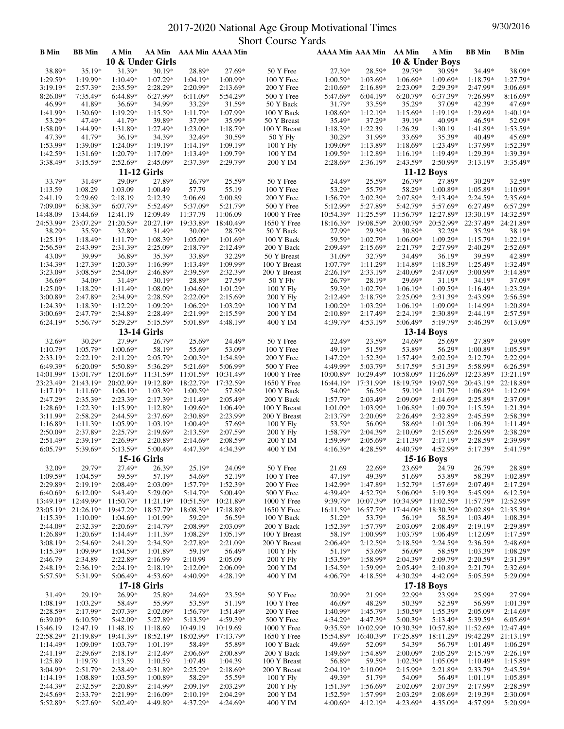## 2017-2020 National Age Group Motivational Times 9/30/2016 Short Course Yards

| <b>B</b> Min             | <b>BB</b> Min           | A Min                    |                          |                        | AA Min AAA Min AAAA Min |                          | AAAA Min AAA Min AA Min |                        |                          | A Min                  | <b>BB</b> Min            | <b>B</b> Min             |
|--------------------------|-------------------------|--------------------------|--------------------------|------------------------|-------------------------|--------------------------|-------------------------|------------------------|--------------------------|------------------------|--------------------------|--------------------------|
|                          |                         |                          | 10 & Under Girls         |                        |                         |                          |                         |                        | 10 & Under Boys          |                        |                          |                          |
| 38.89*                   | 35.19*                  | 31.39*                   | 30.19*                   | 28.89*                 | 27.69*                  | 50 Y Free                | 27.39*                  | 28.59*                 | 29.79*                   | 30.99*                 | 34.49*                   | 38.09*                   |
| $1:29.59*$               | 1:19.99*                | $1:10.49*$               | $1:07.29*$               | $1:04.19*$             | $1:00.99*$              | 100 Y Free               | $1:00.59*$              | $1:03.69*$             | $1:06.69*$               | 1:09.69*               | $1:18.79*$               | 1:27.79*                 |
| $3:19.19*$               | $2:57.39*$              | 2:35.59*                 | 2:28.29*                 | 2:20.99*               | $2:13.69*$              | 200 Y Free               | $2:10.69*$              | $2:16.89*$             | 2:23.09*                 | 2:29.39*               | 2:47.99*                 | $3:06.69*$               |
| 8:26.09*                 | $7:35.49*$              | $6:44.89*$               | 6:27.99*                 | $6:11.09*$             | 5:54.29*                | 500 Y Free               | 5:47.69*                | $6:04.19*$             | 6:20.79*                 | 6:37.39*               | $7:26.99*$               | $8:16.69*$               |
| 46.99*                   | 41.89*                  | 36.69*                   | 34.99*                   | 33.29*                 | 31.59*                  | 50 Y Back                | 31.79*                  | 33.59*                 | 35.29*                   | 37.09*                 | 42.39*                   | 47.69*                   |
| 1:41.99*                 | 1:30.69*                | $1:19.29*$               | $1:15.59*$               | 1:11.79*               | 1:07.99*                | 100 Y Back               | 1:08.69*                | $1:12.19*$             | 1:15.69*                 | 1:19.19*               | 1:29.69*                 | $1:40.19*$               |
| 53.29*                   | 47.49*                  | 41.79*                   | 39.89*                   | 37.99*                 | 35.99*                  | 50 Y Breast              | 35.49*                  | 37.29*                 | 39.19*                   | 40.99*                 | 46.59*                   | 52.09*                   |
| 1:58.09*<br>47.39*       | 1:44.99*<br>41.79*      | 1:31.89*                 | 1:27.49*                 | 1:23.09*               | 1:18.79*<br>30.59*      | 100 Y Breast             | 1:18.39*                | 1:22.39<br>31.99*      | 1:26.29<br>33.69*        | 1:30.19<br>35.39*      | 1:41.89*                 | 1:53.59*<br>45.69*       |
| 1:53.99*                 | 1:39.09*                | 36.19*<br>$1:24.09*$     | 34.39*<br>$1:19.19*$     | 32.49*<br>1:14.19*     | 1:09.19*                | 50 Y Fly<br>100 Y Fly    | $30.29*$<br>1:09.09*    | 1:13.89*               | $1:18.69*$               | 1:23.49*               | 40.49*<br>1:37.99*       | $1:52.39*$               |
| $1:42.59*$               | $1:31.69*$              | $1:20.79*$               | $1:17.09*$               | $1:13.49*$             | 1:09.79*                | 100 Y IM                 | $1:09.59*$              | $1:12.89*$             | $1:16.19*$               | $1:19.49*$             | 1:29.39*                 | 1:39.39*                 |
| 3:38.49*                 | $3:15.59*$              | $2:52.69*$               | 2:45.09*                 | 2:37.39*               | 2:29.79*                | 200 Y IM                 | 2:28.69*                | 2:36.19*               | 2:43.59*                 | 2:50.99*               | $3:13.19*$               | $3:35.49*$               |
|                          |                         |                          | <b>11-12 Girls</b>       |                        |                         |                          |                         |                        | <b>11-12 Boys</b>        |                        |                          |                          |
| 33.79*                   | 31.49*                  | 29.09*                   | 27.89*                   | 26.79*                 | 25.59*                  | 50 Y Free                | 24.49*                  | 25.59*                 | 26.79*                   | 27.89*                 | $30.29*$                 | 32.59*                   |
| 1:13.59                  | 1:08.29                 | 1:03.09                  | 1:00.49                  | 57.79                  | 55.19                   | 100 Y Free               | 53.29*                  | 55.79*                 | 58.29*                   | 1:00.89*               | 1:05.89*                 | $1:10.99*$               |
| 2:41.19                  | 2:29.69                 | 2:18.19                  | 2:12.39                  | 2:06.69                | 2:00.89                 | 200 Y Free               | $1:56.79*$              | $2:02.39*$             | 2:07.89*                 | 2:13.49*               | $2:24.59*$               | $2:35.69*$               |
| 7:09.09*                 | 6:38.39*                | 6:07.79*                 | 5:52.49*                 | 5:37.09*               | 5:21.79*                | 500 Y Free               | 5:12.99*                | 5:27.89*               | 5:42.79*                 | 5:57.69*               | 6:27.49*                 | $6:57.29*$               |
| 14:48.09                 | 13:44.69                | 12:41.19                 | 12:09.49                 | 11:37.79               | 11:06.09                | 1000 Y Free              | $10:54.39*$             | 11:25.59*              | 11:56.79*                | 12:27.89*              | 13:30.19*                | 14:32.59*                |
| 24:53.99*                | 23:07.29*               | 21:20.59*                | 20:27.19*                | 19:33.89*              | 18:40.49*               | 1650 Y Free              | 18:16.39*               | 19:08.59*              | 20:00.79*                | 20:52.99*              | 22:37.49*                | 24:21.89*                |
| 38.29*                   | 35.59*                  | 32.89*                   | 31.49*                   | 30.09*                 | 28.79*                  | 50 Y Back                | 27.99*                  | 29.39*                 | 30.89*                   | 32.29*                 | 35.29*                   | 38.19*                   |
| $1:25.19*$               | 1:18.49*                | $1:11.79*$               | 1:08.39*                 | 1:05.09*               | 1:01.69*                | 100 Y Back               | 59.59*                  | 1:02.79*               | 1:06.09*                 | 1:09.29*               | $1:15.79*$               | $1:22.19*$               |
| $2:56.59*$               | 2:43.99*                | 2:31.39*                 | $2:25.09*$               | 2:18.79*               | 2:12.49*                | 200 Y Back               | $2:09.49*$              | $2:15.69*$             | $2:21.79*$               | 2:27.99*               | 2:40.29*                 | $2:52.69*$               |
| 43.09*                   | 39.99*                  | 36.89*                   | 35.39*                   | 33.89*                 | 32.29*                  | 50 Y Breast              | 31.09*                  | 32.79*                 | 34.49*                   | 36.19*                 | 39.59*                   | 42.89*                   |
| 1:34.39*                 | 1:27.39*                | 1:20.39*                 | 1:16.99*                 | $1:13.49*$             | 1:09.99*                | 100 Y Breast             | 1:07.79*                | $1:11.29*$             | 1:14.89*                 | 1:18.39*               | 1:25.49*                 | 1:32.49*                 |
| $3:23.09*$               | 3:08.59*                | 2:54.09*                 | 2:46.89*                 | 2:39.59*               | 2:32.39*                | 200 Y Breast             | 2:26.19*                | 2:33.19*               | 2:40.09*                 | 2:47.09*               | 3:00.99*                 | $3:14.89*$               |
| $36.69*$                 | 34.09*                  | 31.49*                   | $30.19*$                 | 28.89*                 | 27.59*                  | 50 Y Fly                 | $26.79*$                | 28.19*                 | 29.69*                   | 31.19*                 | 34.19*                   | 37.09*                   |
| 1:25.09*                 | 1:18.29*                | $1:11.49*$               | $1:08.09*$               | 1:04.69*               | 1:01.29*                | 100 Y Fly                | 59.39*                  | 1:02.79*               | 1:06.19*                 | 1:09.59*               | $1:16.49*$               | $1:23.29*$               |
| $3:00.89*$               | 2:47.89*                | 2:34.99*                 | $2:28.59*$               | $2:22.09*$             | $2:15.69*$              | 200 Y Fly                | $2:12.49*$              | $2:18.79*$             | $2:25.09*$               | 2:31.39*               | 2:43.99*                 | $2:56.59*$               |
| $1:24.39*$               | 1:18.39*                | $1:12.29*$               | 1:09.29*                 | 1:06.29*               | 1:03.29*                | 100 Y IM                 | 1:00.29*                | 1:03.29*               | $1:06.19*$               | 1:09.09*               | 1:14.99*                 | 1:20.89*                 |
| $3:00.69*$<br>$6:24.19*$ | $2:47.79*$<br>5:56.79*  | $2:34.89*$<br>5:29.29*   | $2:28.49*$<br>5:15.59*   | 2:21.99*<br>5:01.89*   | $2:15.59*$<br>4:48.19*  | 200 Y IM                 | $2:10.89*$<br>4:39.79*  | $2:17.49*$<br>4:53.19* | $2:24.19*$<br>5:06.49*   | $2:30.89*$<br>5:19.79* | $2:44.19*$<br>5:46.39*   | $2:57.59*$<br>$6:13.09*$ |
|                          |                         |                          |                          |                        |                         | 400 Y IM                 |                         |                        |                          |                        |                          |                          |
|                          |                         |                          | <b>13-14 Girls</b>       |                        |                         |                          |                         |                        | <b>13-14 Boys</b>        |                        |                          |                          |
| 32.69*                   | 30.29*                  | 27.99*                   | 26.79*                   | $25.69*$               | 24.49*                  | 50 Y Free                | 22.49*                  | 23.59*                 | 24.69*                   | 25.69*                 | 27.89*                   | 29.99*                   |
| $1:10.79*$               | 1:05.79*<br>$2:22.19*$  | $1:00.69*$<br>$2:11.29*$ | 58.19*<br>2:05.79*       | 55.69*<br>$2:00.39*$   | 53.09*<br>1:54.89*      | 100 Y Free               | 49.19*<br>$1:47.29*$    | 51.59*<br>$1:52.39*$   | 53.89*<br>$1:57.49*$     | 56.29*<br>$2:02.59*$   | 1:00.89*<br>$2:12.79*$   | $1:05.59*$<br>2:22.99*   |
| $2:33.19*$<br>6:49.39*   | $6:20.09*$              | 5:50.89*                 | 5:36.29*                 | 5:21.69*               | 5:06.99*                | 200 Y Free<br>500 Y Free | 4:49.99*                | 5:03.79*               | 5:17.59*                 | 5:31.39*               | 5:58.99*                 | $6:26.59*$               |
| 14:01.99*                | 13:01.79*               | $12:01.69*$              | 11:31.59*                | 11:01.59*              | 10:31.49*               | 1000 Y Free              | $10:00.89*$             | $10:29.49*$            | 10:58.09*                | $11:26.69*$            | 12:23.89*                | 13:21.19*                |
| 23:23.49*                | 21:43.19*               | 20:02.99*                | 19:12.89*                | 18:22.79*              | 17:32.59*               | 1650 Y Free              | 16:44.19*               | 17:31.99*              | 18:19.79*                | 19:07.59*              | 20:43.19*                | 22:18.89*                |
| $1:17.19*$               | $1:11.69*$              | $1:06.19*$               | $1:03.39*$               | $1:00.59*$             | 57.89*                  | 100 Y Back               | 54.09*                  | 56.59*                 | 59.19*                   | $1:01.79*$             | $1:06.89*$               | $1:12.09*$               |
| 2:47.29*                 | 2:35.39*                | 2:23.39*                 | $2:17.39*$               | $2:11.49*$             | 2:05.49*                | 200 Y Back               | $1:57.79*$              | 2:03.49*               | $2:09.09*$               | $2:14.69*$             | 2:25.89*                 | 2:37.09*                 |
| 1:28.69*                 | 1:22.39*                | $1:15.99*$               | $1:12.89*$               | $1:09.69*$             | $1:06.49*$              | 100 Y Breast             | $1:01.09*$              | $1:03.99*$             | $1:06.89*$               | $1:09.79*$             | $1:15.59*$               | $1:21.39*$               |
| $3:11.99*$               | 2:58.29*                | 2:44.59*                 | 2:37.69*                 | 2:30.89*               | 2:23.99*                | 200 Y Breast             | 2:13.79*                | $2:20.09*$             | $2:26.49*$               | 2:32.89*               | 2:45.59*                 | $2:58.39*$               |
| $1:16.89*$               | $1:11.39*$              | $1:05.99*$               | $1:03.19*$               | $1:00.49*$             | 57.69*                  | 100 Y Fly                | 53.59*                  | 56.09*                 | 58.69*                   | $1:01.29*$             | $1:06.39*$               | $1:11.49*$               |
| $2:50.09*$               | 2:37.89*                | $2:25.79*$               | $2:19.69*$               | $2:13.59*$             | $2:07.59*$              | 200 Y Fly                | 1:58.79*                | $2:04.39*$             | $2:10.09*$               | $2:15.69*$             | $2:26.99*$               | 2:38.29*                 |
| $2:51.49*$               | $2:39.19*$              | $2:26.99*$               | $2:20.89*$               | $2:14.69*$             | $2:08.59*$              | 200 Y IM                 | 1:59.99*                | $2:05.69*$             | $2:11.39*$               | $2:17.19*$             | $2:28.59*$               | 2:39.99*                 |
| $6:05.79*$               | 5:39.69*                | $5:13.59*$               | $5:00.49*$               | 4:47.39*               | 4:34.39*                | 400 Y IM                 | $4:16.39*$              | $4:28.59*$             | $4:40.79*$               | 4:52.99*               | 5:17.39*                 | 5:41.79*                 |
|                          |                         |                          | <b>15-16 Girls</b>       |                        |                         |                          |                         |                        | 15-16 Boys               |                        |                          |                          |
| 32.09*                   | 29.79*                  | 27.49*                   | 26.39*                   | 25.19*                 | 24.09*                  | 50 Y Free                | 21.69                   | 22.69*                 | 23.69*                   | 24.79                  | 26.79*                   | 28.89*                   |
| 1:09.59*                 | 1:04.59*                | 59.59*                   | 57.19*                   | 54.69*                 | 52.19*                  | 100 Y Free               | 47.19*                  | 49.39*                 | 51.69*                   | 53.89*                 | 58.39*                   | $1:02.89*$               |
| 2:29.89*                 | $2:19.19*$              | 2:08.49*                 | 2:03.09*                 | 1:57.79*               | 1:52.39*                | 200 Y Free               | 1:42.99*                | 1:47.89*               | 1:52.79*                 | 1:57.69*               | $2:07.49*$               | $2:17.29*$               |
| $6:40.69*$               | $6:12.09*$              | 5:43.49*                 | 5:29.09*                 | $5:14.79*$             | 5:00.49*                | 500 Y Free               | 4:39.49*                | 4:52.79*               | 5:06.09*                 | 5:19.39*               | 5:45.99*                 | $6:12.59*$               |
| 13:49.19*                | 12:49.99*               |                          | 11:50.79* 11:21.19*      | $10:51.59*$            | 10:21.89*               | 1000 Y Free              | 9:39.79*                | $10:07.39*$            | 10:34.99*                | $11:02.59*$            | 11:57.79*                | 12:52.99*                |
| 23:05.19*                | 21:26.19*<br>$1:10.09*$ | 19:47.29*<br>$1:04.69*$  | 18:57.79*<br>1:01.99*    | 18:08.39*<br>59.29*    | 17:18.89*<br>56.59*     | 1650 Y Free              | $16:11.59*$             | 16:57.79*<br>53.79*    | 17:44.09*                | 18:30.39*<br>58.59*    | 20:02.89*                | 21:35.39*<br>$1:08.39*$  |
| $1:15.39*$<br>2:44.09*   | 2:32.39*                | $2:20.69*$               | $2:14.79*$               | 2:08.99*               | 2:03.09*                | 100 Y Back<br>200 Y Back | 51.29*<br>1:52.39*      | 1:57.79*               | 56.19*<br>$2:03.09*$     | 2:08.49*               | $1:03.49*$<br>$2:19.19*$ | 2:29.89*                 |
| $1:26.89*$               | $1:20.69*$              | $1:14.49*$               | $1:11.39*$               | $1:08.29*$             | 1:05.19*                | 100 Y Breast             | 58.19*                  | $1:00.99*$             | $1:03.79*$               | $1:06.49*$             | $1:12.09*$               | $1:17.59*$               |
| $3:08.19*$               | $2:54.69*$              | 2:41.29*                 | 2:34.59*                 | 2:27.89*               | 2:21.09*                | 200 Y Breast             | $2:06.49*$              | $2:12.59*$             | $2:18.59*$               | 2:24.59*               | 2:36.59*                 | $2:48.69*$               |
| 1:15.39*                 | 1:09.99*                | $1:04.59*$               | 1:01.89*                 | 59.19*                 | 56.49*                  | 100 Y Fly                | 51.19*                  | 53.69*                 | 56.09*                   | 58.59*                 | $1:03.39*$               | $1:08.29*$               |
| 2:46.79                  | 2:34.89                 | 2:22.89*                 | 2:16.99                  | 2:10.99                | 2:05.09                 | 200 Y Fly                | $1:53.59*$              | 1:58.99*               | 2:04.39*                 | 2:09.79*               | 2:20.59*                 | 2:31.39*                 |
| 2:48.19*                 | $2:36.19*$              | $2:24.19*$               | $2:18.19*$               | $2:12.09*$             | $2:06.09*$              | 200 Y IM                 | $1:54.59*$              | 1:59.99*               | 2:05.49*                 | $2:10.89*$             | $2:21.79*$               | $2:32.69*$               |
| 5:57.59*                 | 5:31.99*                | $5:06.49*$               | 4:53.69*                 | 4:40.99*               | 4:28.19*                | 400 Y IM                 | 4:06.79*                | $4:18.59*$             | 4:30.29*                 | 4:42.09*               | $5:05.59*$               | 5:29.09*                 |
|                          |                         |                          | <b>17-18 Girls</b>       |                        |                         |                          |                         |                        | <b>17-18 Boys</b>        |                        |                          |                          |
| 31.49*                   | 29.19*                  | 26.99*                   | 25.89*                   | 24.69*                 | 23.59*                  | 50 Y Free                | 20.99*                  | 21.99*                 | 22.99*                   | 23.99*                 | 25.99*                   | 27.99*                   |
| $1:08.19*$               | 1:03.29*                | 58.49*                   | 55.99*                   | 53.59*                 | 51.19*                  | 100 Y Free               | 46.09*                  | 48.29*                 | 50.39*                   | 52.59*                 | 56.99*                   | $1:01.39*$               |
| $2:28.59*$               | $2:17.99*$              | $2:07.39*$               | $2:02.09*$               | $1:56.79*$             | $1:51.49*$              | 200 Y Free               | 1:40.99*                | $1:45.79*$             | $1:50.59*$               | $1:55.39*$             | $2:05.09*$               | $2:14.69*$               |
| 6:39.09*                 | $6:10.59*$              | 5:42.09*                 | 5:27.89*                 | 5:13.59*               | 4:59.39*                | 500 Y Free               | 4:34.29*                | 4:47.39*               | 5:00.39*                 | 5:13.49*               | 5:39.59*                 | $6:05.69*$               |
| 13:46.19                 | 12:47.19                | 11:48.19                 | 11:18.69                 | 10:49.19               | 10:19.69                | 1000 Y Free              | 9:35.59*                | $10:02.99*$            | $10:30.39*$              | $10:57.89*$            | 11:52.69*                | 12:47.49*                |
| 22:58.29*                | 21:19.89*               | 19:41.39*                | 18:52.19*                | 18:02.99*              | 17:13.79*               | 1650 Y Free              | 15:54.89*               | 16:40.39*              | 17:25.89*                | 18:11.29*              | 19:42.29*                | 21:13.19*                |
| $1:14.49*$               | $1:09.09*$              | $1:03.79*$               | $1:01.19*$               | 58.49*                 | 55.89*                  | 100 Y Back               | 49.69*                  | 52.09*                 | 54.39*                   | 56.79*                 | $1:01.49*$               | $1:06.29*$               |
| $2:41.19*$               | $2:29.69*$              | $2:18.19*$               | $2:12.49*$               | $2:06.69*$             | 2:00.89*                | 200 Y Back               | 1:49.69*                | 1:54.89*               | $2:00.09*$               | $2:05.29*$             | $2:15.79*$               | $2:26.19*$               |
| 1:25.89                  | 1:19.79                 | 1:13.59                  | 1:10.59                  | 1:07.49                | 1:04.39                 | 100 Y Breast             | 56.89*                  | 59.59*                 | $1:02.39*$               | $1:05.09*$             | $1:10.49*$               | $1:15.89*$               |
| $3:04.99*$               | 2:51.79*                | 2:38.49*                 | 2:31.89*                 | 2:25.29*               | $2:18.69*$              | 200 Y Breast             | $2:04.19*$              | $2:10.09*$             | 2:15.99*                 | 2:21.89*               | 2:33.79*                 | $2:45.59*$               |
| $1:14.19*$               | $1:08.89*$              | $1:03.59*$               | $1:00.89*$               | 58.29*                 | 55.59*                  | 100 Y Fly                | 49.39*                  | 51.79*                 | 54.09*                   | 56.49*                 | $1:01.19*$               | $1:05.89*$               |
| 2:44.39*<br>$2:45.69*$   | 2:32.59*<br>$2:33.79*$  | 2:20.89*<br>$2:21.99*$   | $2:14.99*$<br>$2:16.09*$ | 2:09.19*<br>$2:10.19*$ | 2:03.29*<br>$2:04.29*$  | 200 Y Fly<br>200 Y IM    | 1:51.39*<br>$1:52.59*$  | $1:56.69*$<br>1:57.99* | $2:02.09*$<br>$2:03.29*$ | 2:07.39*<br>$2:08.69*$ | 2:17.99*<br>$2:19.39*$   | $2:28.59*$<br>$2:30.09*$ |
| 5:52.89*                 | 5:27.69*                | 5:02.49*                 | 4:49.89*                 | 4:37.29*               | 4:24.69*                | 400 Y IM                 | 4:00.69*                | 4:12.19*               | 4:23.69*                 | 4:35.09*               | 4:57.99*                 | 5:20.99*                 |
|                          |                         |                          |                          |                        |                         |                          |                         |                        |                          |                        |                          |                          |